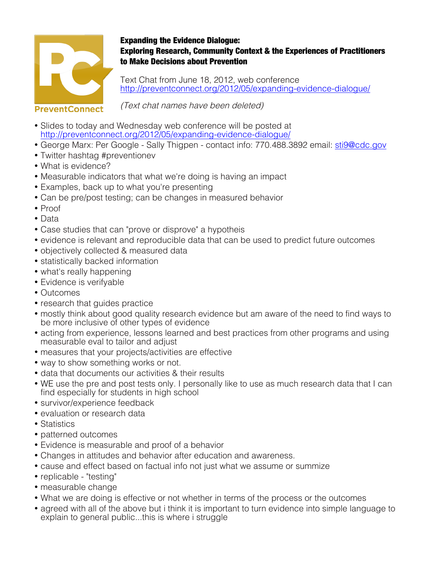

## Expanding the Evidence Dialogue: Exploring Research, Community Context & the Experiences of Practitioners to Make Decisions about Prevention

Text Chat from June 18, 2012, web conference http://preventconnect.org/2012/05/expanding-evidence-dialogue/

## **PreventConnect**

(Text chat names have been deleted)

- Slides to today and Wednesday web conference will be posted at http://preventconnect.org/2012/05/expanding-evidence-dialogue/
- George Marx: Per Google Sally Thigpen contact info: 770.488.3892 email: sti9@cdc.gov
- Twitter hashtag #preventionev
- What is evidence?
- Measurable indicators that what we're doing is having an impact
- Examples, back up to what you're presenting
- Can be pre/post testing; can be changes in measured behavior
- Proof
- Data
- Case studies that can "prove or disprove" a hypotheis
- evidence is relevant and reproducible data that can be used to predict future outcomes
- objectively collected & measured data
- statistically backed information
- what's really happening
- Evidence is verifyable
- Outcomes
- research that guides practice
- mostly think about good quality research evidence but am aware of the need to find ways to be more inclusive of other types of evidence
- acting from experience, lessons learned and best practices from other programs and using measurable eval to tailor and adjust
- measures that your projects/activities are effective
- way to show something works or not.
- data that documents our activities & their results
- WE use the pre and post tests only. I personally like to use as much research data that I can find especially for students in high school
- survivor/experience feedback
- evaluation or research data
- Statistics
- patterned outcomes
- Evidence is measurable and proof of a behavior
- Changes in attitudes and behavior after education and awareness.
- cause and effect based on factual info not just what we assume or summize
- replicable "testing"
- measurable change
- What we are doing is effective or not whether in terms of the process or the outcomes
- agreed with all of the above but i think it is important to turn evidence into simple language to explain to general public...this is where i struggle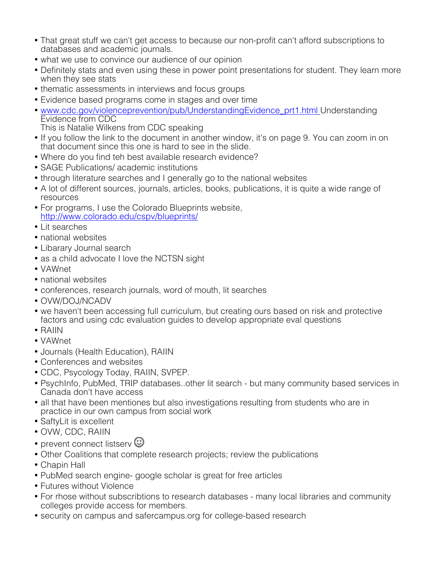- That great stuff we can't get access to because our non-profit can't afford subscriptions to databases and academic journals.
- what we use to convince our audience of our opinion
- Definitely stats and even using these in power point presentations for student. They learn more when they see stats
- thematic assessments in interviews and focus groups
- Evidence based programs come in stages and over time
- www.cdc.gov/violenceprevention/pub/UnderstandingEvidence\_prt1.html Understanding Evidence from CDC
	- This is Natalie Wilkens from CDC speaking
- If you follow the link to the document in another window, it's on page 9. You can zoom in on that document since this one is hard to see in the slide.
- Where do you find teh best available research evidence?
- SAGE Publications/ academic institutions
- through literature searches and I generally go to the national websites
- A lot of different sources, journals, articles, books, publications, it is quite a wide range of resources
- For programs, I use the Colorado Blueprints website, http://www.colorado.edu/cspv/blueprints/
- Lit searches
- national websites
- Libarary Journal search
- as a child advocate I love the NCTSN sight
- VAWnet
- national websites
- conferences, research journals, word of mouth, lit searches
- OVW/DOJ/NCADV
- we haven't been accessing full curriculum, but creating ours based on risk and protective factors and using cdc evaluation guides to develop appropriate eval questions
- RAIIN
- VAWnet
- Journals (Health Education), RAIIN
- Conferences and websites
- CDC, Psycology Today, RAIIN, SVPEP.
- PsychInfo, PubMed, TRIP databases..other lit search but many community based services in Canada don't have access
- all that have been mentiones but also investigations resulting from students who are in practice in our own campus from social work
- SaftyLit is excellent
- OVW, CDC, RAIIN
- prevent connect listserv  $\mathbf \odot$
- Other Coalitions that complete research projects; review the publications
- Chapin Hall
- PubMed search engine- google scholar is great for free articles
- Futures without Violence
- For rhose without subscribtions to research databases many local libraries and community colleges provide access for members.
- security on campus and safercampus.org for college-based research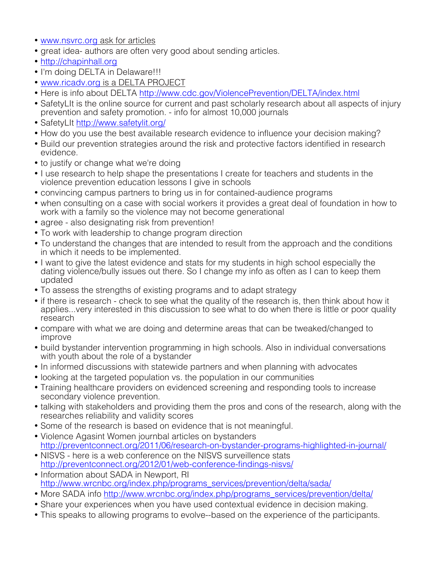- www.nsvrc.org ask for articles
- great idea- authors are often very good about sending articles.
- http://chapinhall.org
- I'm doing DELTA in Delaware!!!
- www.ricadv.org is a DELTA PROJECT
- Here is info about DELTA http://www.cdc.gov/ViolencePrevention/DELTA/index.html
- SafetyLIt is the online source for current and past scholarly research about all aspects of injury prevention and safety promotion. - info for almost 10,000 journals
- SafetyLIt http://www.safetylit.org/
- How do you use the best available research evidence to influence your decision making?
- Build our prevention strategies around the risk and protective factors identified in research evidence.
- to justify or change what we're doing
- I use research to help shape the presentations I create for teachers and students in the violence prevention education lessons I give in schools
- convincing campus partners to bring us in for contained-audience programs
- when consulting on a case with social workers it provides a great deal of foundation in how to work with a family so the violence may not become generational
- agree also designating risk from prevention!
- To work with leadership to change program direction
- To understand the changes that are intended to result from the approach and the conditions in which it needs to be implemented.
- I want to give the latest evidence and stats for my students in high school especially the dating violence/bully issues out there. So I change my info as often as I can to keep them updated
- To assess the strengths of existing programs and to adapt strategy
- if there is research check to see what the quality of the research is, then think about how it applies...very interested in this discussion to see what to do when there is little or poor quality research
- compare with what we are doing and determine areas that can be tweaked/changed to improve
- build bystander intervention programming in high schools. Also in individual conversations with youth about the role of a bystander
- In informed discussions with statewide partners and when planning with advocates
- looking at the targeted population vs. the population in our communities
- Training healthcare providers on evidenced screening and responding tools to increase secondary violence prevention.
- talking with stakeholders and providing them the pros and cons of the research, along with the researches reliability and validity scores
- Some of the research is based on evidence that is not meaningful.
- Violence Agasint Women journbal articles on bystanders http://preventconnect.org/2011/06/research-on-bystander-programs-highlighted-in-journal/
- NISVS here is a web conference on the NISVS surveillence stats http://preventconnect.org/2012/01/web-conference-findings-nisvs/
- Information about SADA in Newport, RI http://www.wrcnbc.org/index.php/programs\_services/prevention/delta/sada/
- More SADA info http://www.wrcnbc.org/index.php/programs\_services/prevention/delta/
- Share your experiences when you have used contextual evidence in decision making.
- This speaks to allowing programs to evolve--based on the experience of the participants.